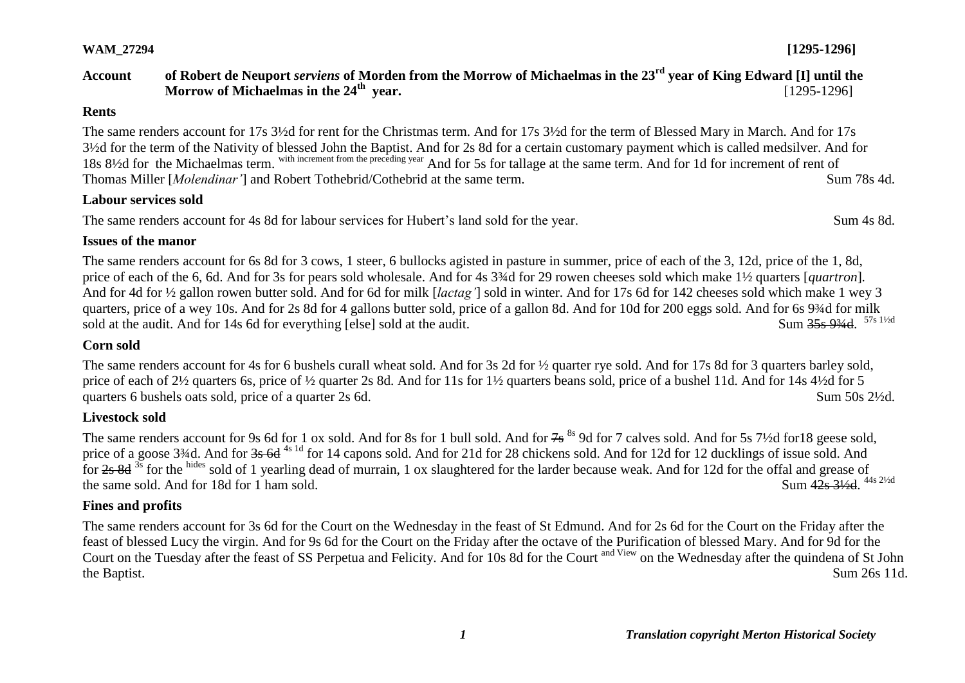#### *1 Translation copyright Merton Historical Society*

**Livestock sold**

# **Fines and profits**

The same renders account for 3s 6d for the Court on the Wednesday in the feast of St Edmund. And for 2s 6d for the Court on the Friday after the feast of blessed Lucy the virgin. And for 9s 6d for the Court on the Friday after the octave of the Purification of blessed Mary. And for 9d for the Court on the Tuesday after the feast of SS Perpetua and Felicity. And for 10s 8d for the Court and View on the Wednesday after the quindena of St John the Baptist. Sum 26s 11d.

The same renders account for 9s 6d for 1 ox sold. And for 8s for 1 bull sold. And for 7s <sup>8s</sup> 9d for 7 calves sold. And for 5s 7½d for 18 geese sold, price of a goose 3<sup>3</sup>/4d. And for <del>3s 6d</del> <sup>4s 1d</sup> for 14 capons sold. And for 21d for 28 chickens sold. And for 12d for 12 ducklings of issue sold. And for 2s 8d <sup>3s</sup> for the hides sold of 1 yearling dead of murrain, 1 ox slaughtered for the larder because weak. And for 12d for the offal and grease of the same sold. And for 18d for 1 ham sold. Sum 42s 31/<sub>2d</sub> 44s 21/2d

# **Labour services sold**

The same renders account for 4s 8d for labour services for Hubert's land sold for the year. Sum 4s 8d.

### **Issues of the manor**

The same renders account for 6s 8d for 3 cows, 1 steer, 6 bullocks agisted in pasture in summer, price of each of the 3, 12d, price of the 1, 8d, price of each of the 6, 6d. And for 3s for pears sold wholesale. And for 4s 3¾d for 29 rowen cheeses sold which make 1½ quarters [*quartron*]*.* And for 4d for ½ gallon rowen butter sold. And for 6d for milk [*lactag'*] sold in winter. And for 17s 6d for 142 cheeses sold which make 1 wey 3 quarters, price of a wey 10s. And for 2s 8d for 4 gallons butter sold, price of a gallon 8d. And for 10d for 200 eggs sold. And for 6s 9¾d for milk sold at the audit. And for 14s 6d for everything [else] sold at the audit. Sum 35s 93/4d 57s 11/2d

## **Corn sold**

The same renders account for 4s for 6 bushels curall wheat sold. And for 3s 2d for  $\frac{1}{2}$  quarter rye sold. And for 17s 8d for 3 quarters barley sold, price of each of 2½ quarters 6s, price of ½ quarter 2s 8d. And for 11s for 1½ quarters beans sold, price of a bushel 11d. And for 14s 4½d for 5 quarters 6 bushels oats sold, price of a quarter 2s 6d. Sum 50s 2<sup>1/2</sup>d.

The same renders account for 17s 3½d for rent for the Christmas term. And for 17s 3½d for the term of Blessed Mary in March. And for 17s 3½d for the term of the Nativity of blessed John the Baptist. And for 2s 8d for a certain customary payment which is called medsilver. And for 18s 8½d for the Michaelmas term. with increment from the preceding year And for 5s for tallage at the same term. And for 1d for increment of rent of Thomas Miller [*Molendinar'*] and Robert Tothebrid/Cothebrid at the same term. Sum 78s 4d.

#### **Account of Robert de Neuport** *serviens* **of Morden from the Morrow of Michaelmas in the 23rd year of King Edward [I] until the Morrow of Michaelmas in the 24th year.** [1295-1296]

#### **Rents**

**WAM\_27294 [1295-1296]**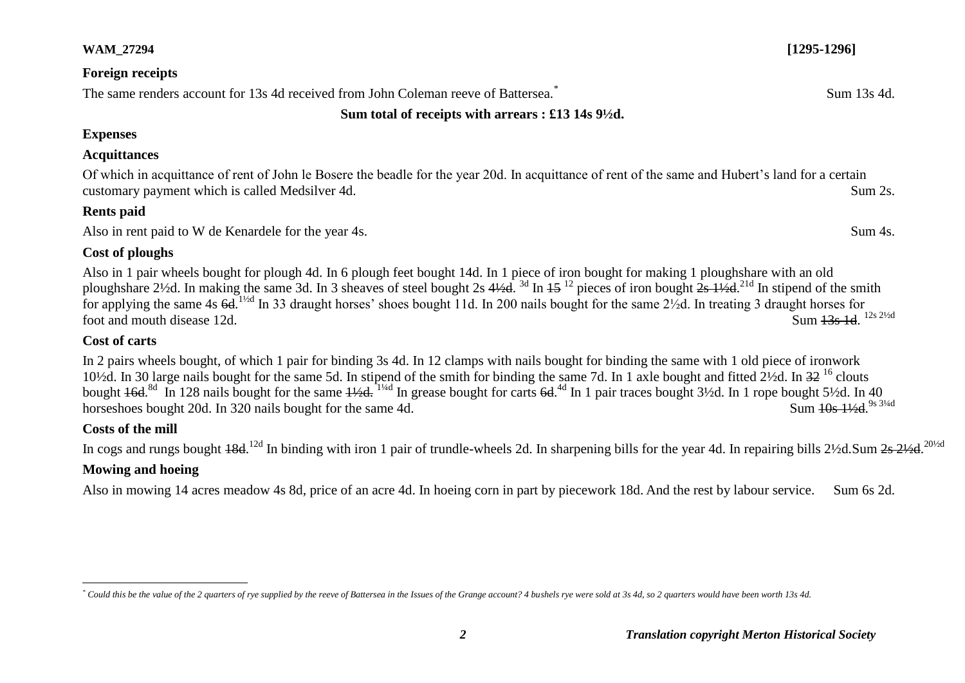| The same renders account for 13s 4d received from John Coleman reeve of Battersea.                                                                                                                                                                                                                                                                                                                                                                                                                                                                                                                                                            | Sum 13s 4d.             |
|-----------------------------------------------------------------------------------------------------------------------------------------------------------------------------------------------------------------------------------------------------------------------------------------------------------------------------------------------------------------------------------------------------------------------------------------------------------------------------------------------------------------------------------------------------------------------------------------------------------------------------------------------|-------------------------|
| Sum total of receipts with arrears : £13 14s $9\frac{1}{2}$ d.                                                                                                                                                                                                                                                                                                                                                                                                                                                                                                                                                                                |                         |
| <b>Expenses</b>                                                                                                                                                                                                                                                                                                                                                                                                                                                                                                                                                                                                                               |                         |
| <b>Acquittances</b>                                                                                                                                                                                                                                                                                                                                                                                                                                                                                                                                                                                                                           |                         |
| Of which in acquittance of rent of John le Bosere the beadle for the year 20d. In acquittance of rent of the same and Hubert's land for a certain<br>customary payment which is called Medsilver 4d.                                                                                                                                                                                                                                                                                                                                                                                                                                          | Sum 2s.                 |
| <b>Rents paid</b>                                                                                                                                                                                                                                                                                                                                                                                                                                                                                                                                                                                                                             |                         |
| Also in rent paid to W de Kenardele for the year 4s.                                                                                                                                                                                                                                                                                                                                                                                                                                                                                                                                                                                          | Sum 4s.                 |
| Cost of ploughs                                                                                                                                                                                                                                                                                                                                                                                                                                                                                                                                                                                                                               |                         |
| Also in 1 pair wheels bought for plough 4d. In 6 plough feet bought 14d. In 1 piece of iron bought for making 1 ploughshare with an old<br>ploughshare $2\frac{1}{2}$ d. In making the same 3d. In 3 sheaves of steel bought 2s $4\frac{1}{2}$ d. 3d In $15^{12}$ pieces of iron bought $2s$ $1\frac{1}{2}$ d. <sup>21d</sup> In stipend of the smith<br>for applying the same 4s $6d$ . <sup>1/2d</sup> In 33 draught horses' shoes bought 11d. In 200 nails bought for the same $2\frac{1}{2}d$ . In treating 3 draught horses for<br>Sum 13s 1d. 12s 21/2d<br>foot and mouth disease 12d.                                                  |                         |
| Cost of carts                                                                                                                                                                                                                                                                                                                                                                                                                                                                                                                                                                                                                                 |                         |
| In 2 pairs wheels bought, of which 1 pair for binding 3s 4d. In 12 clamps with nails bought for binding the same with 1 old piece of ironwork<br>10 <sup>1</sup> /2d. In 30 large nails bought for the same 5d. In stipend of the smith for binding the same 7d. In 1 axle bought and fitted 2 <sup>1</sup> /2d. In 32 <sup>16</sup> clouts<br>bought $46d$ <sup>8d</sup> In 128 nails bought for the same $4\frac{1}{4}$ <sup>1/4d</sup> In grease bought for carts $6d$ <sup>4d</sup> In 1 pair traces bought 3 <sup>1</sup> /2d. In 1 rope bought 5 <sup>1</sup> /2d. In 40<br>horseshoes bought 20d. In 320 nails bought for the same 4d. | Sum 10s 11/2d. 9s 31/4d |

# **Costs of the mill**

In cogs and rungs bought 48d.<sup>12d</sup> In binding with iron 1 pair of trundle-wheels 2d. In sharpening bills for the year 4d. In repairing bills 2½d.Sum <del>2s 2½d.</del><sup>20½d</sup>

# **Mowing and hoeing**

Also in mowing 14 acres meadow 4s 8d, price of an acre 4d. In hoeing corn in part by piecework 18d. And the rest by labour service. Sum 6s 2d.

**WAM\_27294 [1295-1296]**

# **Foreign receipts**

 $\overline{a}$ *\* Could this be the value of the 2 quarters of rye supplied by the reeve of Battersea in the Issues of the Grange account? 4 bushels rye were sold at 3s 4d, so 2 quarters would have been worth 13s 4d.*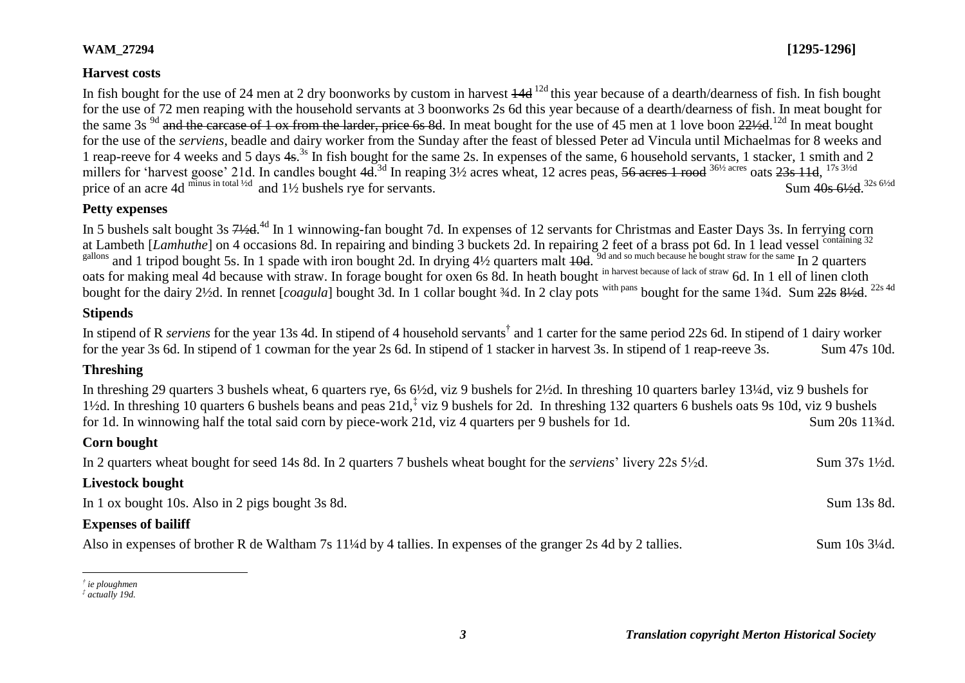## **WAM\_27294 [1295-1296]**

## **Harvest costs**

In fish bought for the use of 24 men at 2 dry boonworks by custom in harvest  $\frac{14d}{12d}$  this year because of a dearth/dearness of fish. In fish bought for the use of 72 men reaping with the household servants at 3 boonworks 2s 6d this year because of a dearth/dearness of fish. In meat bought for the same 3s <sup>9d</sup> and the carcase of 1 ox from the larder, price 6s 8d. In meat bought for the use of 45 men at 1 love boon 221⁄2d.<sup>12d</sup> In meat bought for the use of the *serviens*, beadle and dairy worker from the Sunday after the feast of blessed Peter ad Vincula until Michaelmas for 8 weeks and 1 reap-reeve for 4 weeks and 5 days 4s.<sup>3s</sup> In fish bought for the same 2s. In expenses of the same, 6 household servants, 1 stacker, 1 smith and 2 millers for 'harvest goose' 21d. In candles bought 4d.<sup>3d</sup> In reaping 3½ acres wheat, 12 acres peas, <del>56 acres 1 rood</del> <sup>36½ acres</sup> oats <del>23s 11d</del>, <sup>17s 3½d</sup> price of an acre 4d minus in total <sup>1/2d</sup> and 1<sup>1</sup>/2 bushels rye for servants. Sum 40s 61/<sub>24</sub> 32s 6<sup>1</sup>/<sub>2d</sub>

## **Petty expenses**

In 5 bushels salt bought 3s 71/2d.<sup>4d</sup> In 1 winnowing-fan bought 7d. In expenses of 12 servants for Christmas and Easter Days 3s. In ferrying corn at Lambeth [*Lamhuthe*] on 4 occasions 8d. In repairing and binding 3 buckets 2d. In repairing 2 feet of a brass pot 6d. In 1 lead vessel containing 32 gallons and 1 tripod bought 5s. In 1 spade with iron bought 2d. In drying 4½ quarters malt <del>10d.</del> 9d and so much because he bought straw for the same In 2 quarters oats for making meal 4d because with straw. In forage bought for oxen 6s 8d. In heath bought in harvest because of lack of straw 6d. In 1 ell of linen cloth bought for the dairy 2½d. In rennet [*coagula*] bought 3d. In 1 collar bought ¾d. In 2 clay pots with pans bought for the same 1¾d. Sum <del>22s 8½d</del>. <sup>22s 4d</sup>

## **Stipends**

In stipend of R *serviens* for the year 13s 4d. In stipend of 4 household servants<sup>†</sup> and 1 carter for the same period 22s 6d. In stipend of 1 dairy worker for the year 3s 6d. In stipend of 1 cowman for the year 2s 6d. In stipend of 1 stacker in harvest 3s. In stipend of 1 reap-reeve 3s. Sum 47s 10d.

# **Threshing**

In threshing 29 quarters 3 bushels wheat, 6 quarters rye, 6s 6½d, viz 9 bushels for 2½d. In threshing 10 quarters barley 13¼d, viz 9 bushels for 1½d. In threshing 10 quarters 6 bushels beans and peas 21d,<sup>‡</sup> viz 9 bushels for 2d. In threshing 132 quarters 6 bushels oats 9s 10d, viz 9 bushels for 1d. In winnowing half the total said corn by piece-work 21d, viz 4 quarters per 9 bushels for 1d. Sum 20s 11¼d.

## **Corn bought**

In 2 quarters wheat bought for seed 14s 8d. In 2 quarters 7 bushels wheat bought for the *serviens*' livery 22s 5½d. Sum 37s 1½d.

# **Livestock bought**

In 1 ox bought 10s. Also in 2 pigs bought 3s 8d. Sum 13s 8d.

## **Expenses of bailiff**

Also in expenses of brother R de Waltham 7s 11<sup>1</sup>/4d by 4 tallies. In expenses of the granger 2s 4d by 2 tallies. Sum 10s 3<sup>1</sup>/4d.

 $\overline{a}$ *† ie ploughmen*

*<sup>‡</sup> actually 19d.*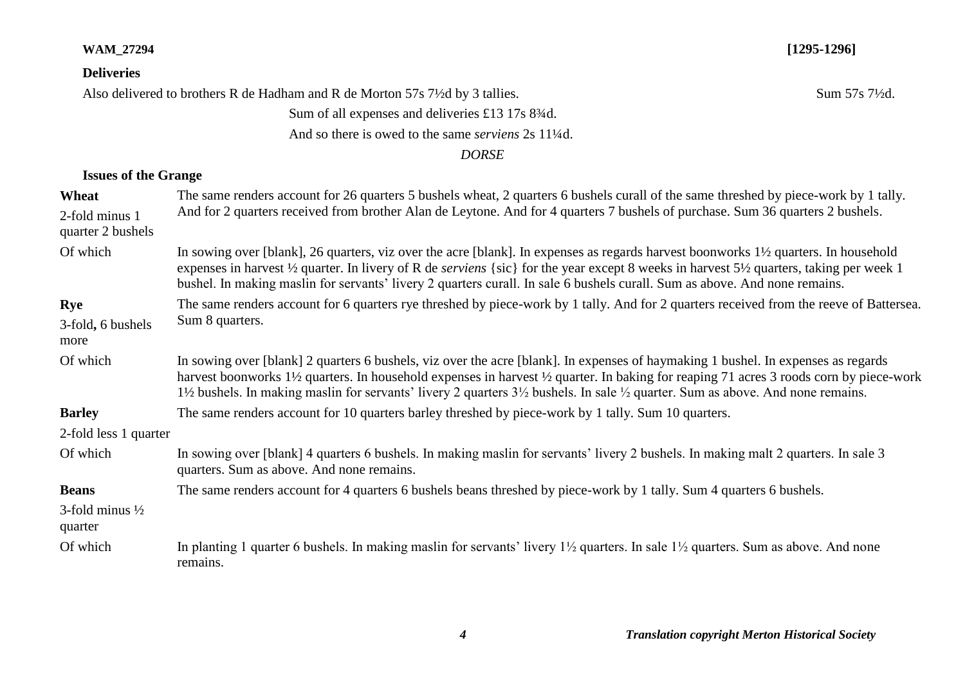#### **WAM\_27294 [1295-1296]**

### **Deliveries**

Also delivered to brothers R de Hadham and R de Morton 57s 7½d by 3 tallies. Sum 57s 71⁄2d.

# Sum of all expenses and deliveries £13 17s 8<sup>3</sup>/<sub>4</sub>d.

And so there is owed to the same *serviens* 2s 11¼d.

*DORSE*

# **Issues of the Grange**

| Wheat                                 | The same renders account for 26 quarters 5 bushels wheat, 2 quarters 6 bushels curall of the same threshed by piece-work by 1 tally.                                                                                                                                                                                                                                                                                                         |  |
|---------------------------------------|----------------------------------------------------------------------------------------------------------------------------------------------------------------------------------------------------------------------------------------------------------------------------------------------------------------------------------------------------------------------------------------------------------------------------------------------|--|
| 2-fold minus 1<br>quarter 2 bushels   | And for 2 quarters received from brother Alan de Leytone. And for 4 quarters 7 bushels of purchase. Sum 36 quarters 2 bushels.                                                                                                                                                                                                                                                                                                               |  |
| Of which                              | In sowing over [blank], 26 quarters, viz over the acre [blank]. In expenses as regards harvest boonworks 1½ quarters. In household<br>expenses in harvest 1/2 quarter. In livery of R de <i>serviens</i> {sic} for the year except 8 weeks in harvest 51/2 quarters, taking per week 1<br>bushel. In making maslin for servants' livery 2 quarters curall. In sale 6 bushels curall. Sum as above. And none remains.                         |  |
| Rye                                   | The same renders account for 6 quarters rye threshed by piece-work by 1 tally. And for 2 quarters received from the reeve of Battersea.                                                                                                                                                                                                                                                                                                      |  |
| 3-fold, 6 bushels<br>more             | Sum 8 quarters.                                                                                                                                                                                                                                                                                                                                                                                                                              |  |
| Of which                              | In sowing over [blank] 2 quarters 6 bushels, viz over the acre [blank]. In expenses of haymaking 1 bushel. In expenses as regards<br>harvest boonworks 1½ quarters. In household expenses in harvest ½ quarter. In baking for reaping 71 acres 3 roods corn by piece-work<br>$1\frac{1}{2}$ bushels. In making maslin for servants' livery 2 quarters $3\frac{1}{2}$ bushels. In sale $\frac{1}{2}$ quarter. Sum as above. And none remains. |  |
| <b>Barley</b>                         | The same renders account for 10 quarters barley threshed by piece-work by 1 tally. Sum 10 quarters.                                                                                                                                                                                                                                                                                                                                          |  |
| 2-fold less 1 quarter                 |                                                                                                                                                                                                                                                                                                                                                                                                                                              |  |
| Of which                              | In sowing over [blank] 4 quarters 6 bushels. In making maslin for servants' livery 2 bushels. In making malt 2 quarters. In sale 3<br>quarters. Sum as above. And none remains.                                                                                                                                                                                                                                                              |  |
| <b>Beans</b>                          | The same renders account for 4 quarters 6 bushels beans threshed by piece-work by 1 tally. Sum 4 quarters 6 bushels.                                                                                                                                                                                                                                                                                                                         |  |
| 3-fold minus $\frac{1}{2}$<br>quarter |                                                                                                                                                                                                                                                                                                                                                                                                                                              |  |
| Of which                              | In planting 1 quarter 6 bushels. In making maslin for servants' livery $1\frac{1}{2}$ quarters. In sale $1\frac{1}{2}$ quarters. Sum as above. And none<br>remains.                                                                                                                                                                                                                                                                          |  |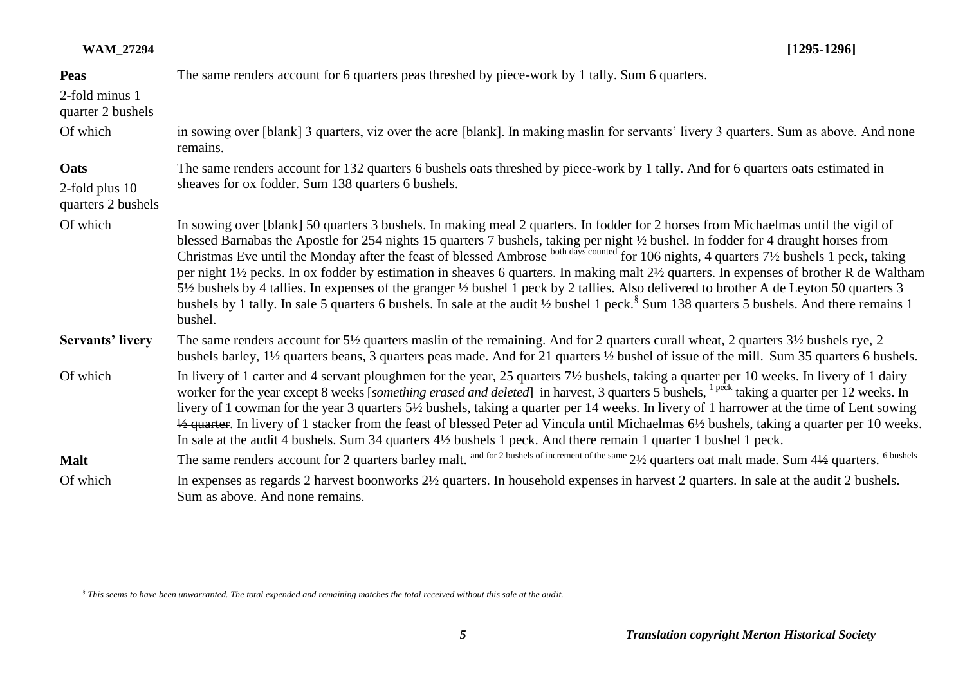| <b>Peas</b><br>2-fold minus 1<br>quarter 2 bushels | The same renders account for 6 quarters peas threshed by piece-work by 1 tally. Sum 6 quarters.                                                                                                                                                                                                                                                                                                                                                                                                                                                                                                                                                                                                                                                                                                                                                             |
|----------------------------------------------------|-------------------------------------------------------------------------------------------------------------------------------------------------------------------------------------------------------------------------------------------------------------------------------------------------------------------------------------------------------------------------------------------------------------------------------------------------------------------------------------------------------------------------------------------------------------------------------------------------------------------------------------------------------------------------------------------------------------------------------------------------------------------------------------------------------------------------------------------------------------|
| Of which                                           | in sowing over [blank] 3 quarters, viz over the acre [blank]. In making maslin for servants' livery 3 quarters. Sum as above. And none<br>remains.                                                                                                                                                                                                                                                                                                                                                                                                                                                                                                                                                                                                                                                                                                          |
| Oats<br>2-fold plus 10<br>quarters 2 bushels       | The same renders account for 132 quarters 6 bushels oats threshed by piece-work by 1 tally. And for 6 quarters oats estimated in<br>sheaves for ox fodder. Sum 138 quarters 6 bushels.                                                                                                                                                                                                                                                                                                                                                                                                                                                                                                                                                                                                                                                                      |
| Of which                                           | In sowing over [blank] 50 quarters 3 bushels. In making meal 2 quarters. In fodder for 2 horses from Michaelmas until the vigil of<br>blessed Barnabas the Apostle for 254 nights 15 quarters 7 bushels, taking per night 1/2 bushel. In fodder for 4 draught horses from<br>Christmas Eve until the Monday after the feast of blessed Ambrose both days counted for 10<br>per night 1½ pecks. In ox fodder by estimation in sheaves 6 quarters. In making malt 2½ quarters. In expenses of brother R de Waltham<br>5 <sup>1</sup> /2 bushels by 4 tallies. In expenses of the granger <sup>1</sup> /2 bushel 1 peck by 2 tallies. Also delivered to brother A de Leyton 50 quarters 3<br>bushels by 1 tally. In sale 5 quarters 6 bushels. In sale at the audit 1/2 bushel 1 peck. <sup>§</sup> Sum 138 quarters 5 bushels. And there remains 1<br>bushel. |
| <b>Servants' livery</b>                            | The same renders account for 5½ quarters maslin of the remaining. And for 2 quarters curall wheat, 2 quarters 3½ bushels rye, 2<br>bushels barley, 1 <sup>1</sup> / <sub>2</sub> quarters beans, 3 quarters peas made. And for 21 quarters <sup>1</sup> / <sub>2</sub> bushel of issue of the mill. Sum 35 quarters 6 bushels.                                                                                                                                                                                                                                                                                                                                                                                                                                                                                                                              |
| Of which                                           | In livery of 1 carter and 4 servant ploughmen for the year, 25 quarters 7½ bushels, taking a quarter per 10 weeks. In livery of 1 dairy<br>worker for the year except 8 weeks [something erased and deleted] in harvest, 3 quarters 5 bushels, <sup>1 peck</sup> taking a quarter per 12 weeks. In<br>livery of 1 cowman for the year 3 quarters 5½ bushels, taking a quarter per 14 weeks. In livery of 1 harrower at the time of Lent sowing<br>$\frac{1}{2}$ quarter. In livery of 1 stacker from the feast of blessed Peter ad Vincula until Michaelmas 6 <sup>1</sup> / <sub>2</sub> bushels, taking a quarter per 10 weeks.<br>In sale at the audit 4 bushels. Sum 34 quarters 4 <sup>1</sup> / <sub>2</sub> bushels 1 peck. And there remain 1 quarter 1 bushel 1 peck.                                                                              |
| <b>Malt</b>                                        | The same renders account for 2 quarters barley malt. and for 2 bushels of increment of the same 21/2 quarters oat malt made. Sum 41/2 quarters. <sup>6 bushels</sup>                                                                                                                                                                                                                                                                                                                                                                                                                                                                                                                                                                                                                                                                                        |
| Of which                                           | In expenses as regards 2 harvest boonworks 2½ quarters. In household expenses in harvest 2 quarters. In sale at the audit 2 bushels.<br>Sum as above. And none remains.                                                                                                                                                                                                                                                                                                                                                                                                                                                                                                                                                                                                                                                                                     |

 *§ This seems to have been unwarranted. The total expended and remaining matches the total received without this sale at the audit.*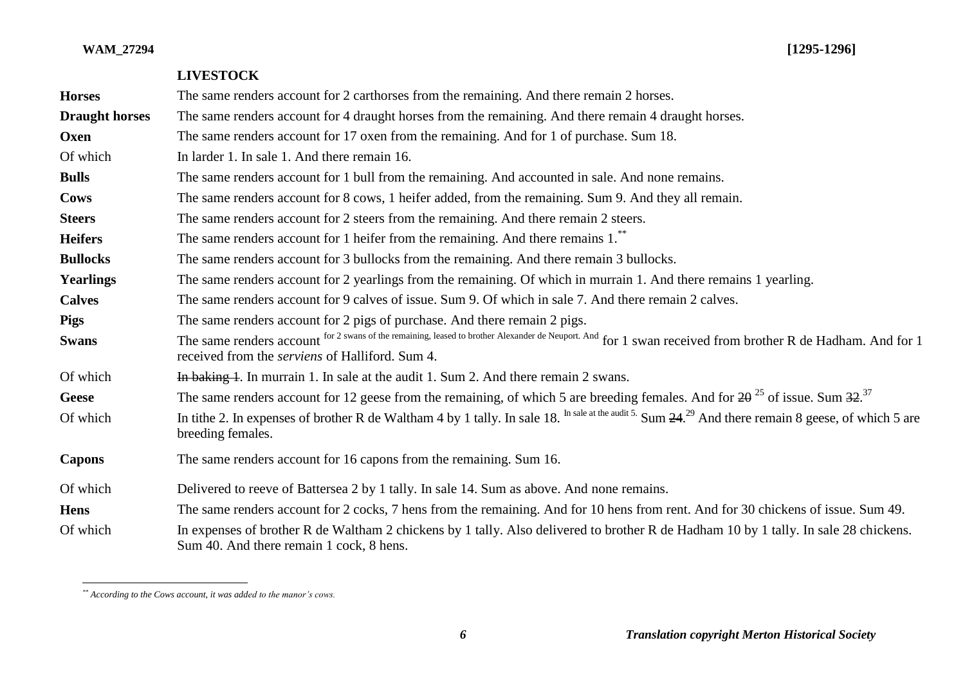|                       | <b>LIVESTOCK</b>                                                                                                                                                                                                     |
|-----------------------|----------------------------------------------------------------------------------------------------------------------------------------------------------------------------------------------------------------------|
| <b>Horses</b>         | The same renders account for 2 carthorses from the remaining. And there remain 2 horses.                                                                                                                             |
| <b>Draught horses</b> | The same renders account for 4 draught horses from the remaining. And there remain 4 draught horses.                                                                                                                 |
| Oxen                  | The same renders account for 17 oxen from the remaining. And for 1 of purchase. Sum 18.                                                                                                                              |
| Of which              | In larder 1. In sale 1. And there remain 16.                                                                                                                                                                         |
| <b>Bulls</b>          | The same renders account for 1 bull from the remaining. And accounted in sale. And none remains.                                                                                                                     |
| <b>Cows</b>           | The same renders account for 8 cows, 1 heifer added, from the remaining. Sum 9. And they all remain.                                                                                                                 |
| <b>Steers</b>         | The same renders account for 2 steers from the remaining. And there remain 2 steers.                                                                                                                                 |
| <b>Heifers</b>        | The same renders account for 1 heifer from the remaining. And there remains 1. <sup>**</sup>                                                                                                                         |
| <b>Bullocks</b>       | The same renders account for 3 bullocks from the remaining. And there remain 3 bullocks.                                                                                                                             |
| <b>Yearlings</b>      | The same renders account for 2 yearlings from the remaining. Of which in murrain 1. And there remains 1 yearling.                                                                                                    |
| <b>Calves</b>         | The same renders account for 9 calves of issue. Sum 9. Of which in sale 7. And there remain 2 calves.                                                                                                                |
| <b>Pigs</b>           | The same renders account for 2 pigs of purchase. And there remain 2 pigs.                                                                                                                                            |
| <b>Swans</b>          | The same renders account for 2 swans of the remaining, leased to brother Alexander de Neuport. And for 1 swan received from brother R de Hadham. And for 1<br>received from the <i>serviens</i> of Halliford. Sum 4. |
| Of which              | In baking 1. In murrain 1. In sale at the audit 1. Sum 2. And there remain 2 swans.                                                                                                                                  |
| <b>Geese</b>          | The same renders account for 12 geese from the remaining, of which 5 are breeding females. And for $2\theta^{25}$ of issue. Sum $32^{37}$                                                                            |
| Of which              | In tithe 2. In expenses of brother R de Waltham 4 by 1 tally. In sale 18. In sale at the audit 5. Sum 24. <sup>29</sup> And there remain 8 geese, of which 5 are<br>breeding females.                                |
| <b>Capons</b>         | The same renders account for 16 capons from the remaining. Sum 16.                                                                                                                                                   |
| Of which              | Delivered to reeve of Battersea 2 by 1 tally. In sale 14, Sum as above. And none remains.                                                                                                                            |
| <b>Hens</b>           | The same renders account for 2 cocks, 7 hens from the remaining. And for 10 hens from rent. And for 30 chickens of issue. Sum 49.                                                                                    |
| Of which              | In expenses of brother R de Waltham 2 chickens by 1 tally. Also delivered to brother R de Hadham 10 by 1 tally. In sale 28 chickens.<br>Sum 40. And there remain 1 cock, 8 hens.                                     |

 $\overline{a}$ 

*<sup>\*\*</sup> According to the Cows account, it was added to the manor's cows.*